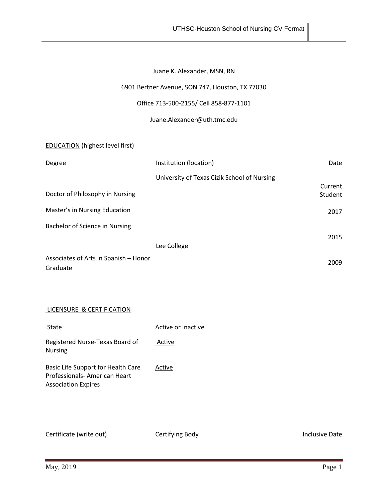# Juane K. Alexander, MSN, RN

### 6901 Bertner Avenue, SON 747, Houston, TX 77030

### Office 713-500-2155/ Cell 858-877-1101

#### Juane.Alexander@uth.tmc.edu

EDUCATION (highest level first)

| Degree                                | Institution (location)                      | Date    |
|---------------------------------------|---------------------------------------------|---------|
|                                       | University of Texas Cizik School of Nursing |         |
|                                       |                                             | Current |
| Doctor of Philosophy in Nursing       |                                             | Student |
| Master's in Nursing Education         |                                             | 2017    |
| Bachelor of Science in Nursing        |                                             |         |
|                                       |                                             | 2015    |
|                                       | Lee College                                 |         |
| Associates of Arts in Spanish - Honor |                                             | 2009    |
| Graduate                              |                                             |         |

## LICENSURE & CERTIFICATION

| State                                                                                            | Active or Inactive |
|--------------------------------------------------------------------------------------------------|--------------------|
| Registered Nurse-Texas Board of<br><b>Nursing</b>                                                | Active             |
| Basic Life Support for Health Care<br>Professionals-American Heart<br><b>Association Expires</b> | Active             |

Certificate (write out) Certifying Body Certiful Certiful Certificate (write out)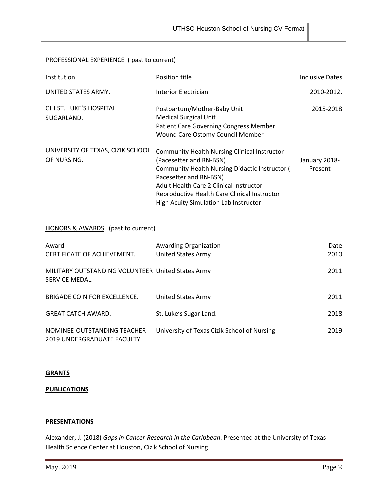## PROFESSIONAL EXPERIENCE ( past to current)

| Institution                                                         | Position title                                                                                                                                                                                                                                                                                        | <b>Inclusive Dates</b>   |  |  |
|---------------------------------------------------------------------|-------------------------------------------------------------------------------------------------------------------------------------------------------------------------------------------------------------------------------------------------------------------------------------------------------|--------------------------|--|--|
| UNITED STATES ARMY.                                                 | <b>Interior Electrician</b>                                                                                                                                                                                                                                                                           | 2010-2012.               |  |  |
| CHI ST. LUKE'S HOSPITAL<br>SUGARLAND.                               | Postpartum/Mother-Baby Unit<br><b>Medical Surgical Unit</b><br><b>Patient Care Governing Congress Member</b><br>Wound Care Ostomy Council Member                                                                                                                                                      | 2015-2018                |  |  |
| UNIVERSITY OF TEXAS, CIZIK SCHOOL<br>OF NURSING.                    | <b>Community Health Nursing Clinical Instructor</b><br>(Pacesetter and RN-BSN)<br>Community Health Nursing Didactic Instructor (<br>Pacesetter and RN-BSN)<br><b>Adult Health Care 2 Clinical Instructor</b><br>Reproductive Health Care Clinical Instructor<br>High Acuity Simulation Lab Instructor | January 2018-<br>Present |  |  |
| HONORS & AWARDS (past to current)                                   |                                                                                                                                                                                                                                                                                                       |                          |  |  |
| Award<br>CERTIFICATE OF ACHIEVEMENT.                                | <b>Awarding Organization</b><br><b>United States Army</b>                                                                                                                                                                                                                                             | Date<br>2010             |  |  |
| MILITARY OUTSTANDING VOLUNTEER United States Army<br>SERVICE MEDAL. |                                                                                                                                                                                                                                                                                                       | 2011                     |  |  |
| BRIGADE COIN FOR EXCELLENCE.                                        | <b>United States Army</b>                                                                                                                                                                                                                                                                             | 2011                     |  |  |
| <b>GREAT CATCH AWARD.</b>                                           | St. Luke's Sugar Land.                                                                                                                                                                                                                                                                                | 2018                     |  |  |
| NOMINEE-OUTSTANDING TEACHER<br><b>2019 UNDERGRADUATE FACULTY</b>    | University of Texas Cizik School of Nursing                                                                                                                                                                                                                                                           | 2019                     |  |  |

### **GRANTS**

#### **PUBLICATIONS**

#### **PRESENTATIONS**

Alexander, J. (2018) *Gaps in Cancer Research in the Caribbean*. Presented at the University of Texas Health Science Center at Houston, Cizik School of Nursing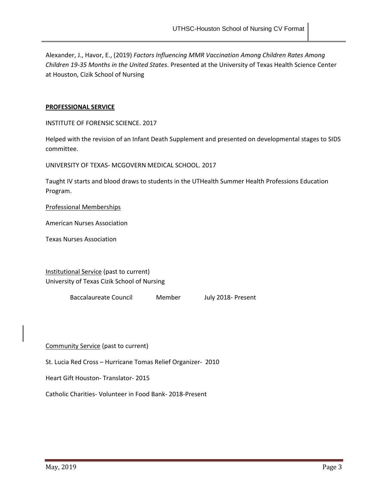Alexander, J., Havor, E., (2019) *Factors Influencing MMR Vaccination Among Children Rates Among Children 19-35 Months in the United States*. Presented at the University of Texas Health Science Center at Houston, Cizik School of Nursing

#### **PROFESSIONAL SERVICE**

INSTITUTE OF FORENSIC SCIENCE. 2017

Helped with the revision of an Infant Death Supplement and presented on developmental stages to SIDS committee.

UNIVERSITY OF TEXAS- MCGOVERN MEDICAL SCHOOL. 2017

Taught IV starts and blood draws to students in the UTHealth Summer Health Professions Education Program.

Professional Memberships

American Nurses Association

Texas Nurses Association

Institutional Service (past to current) University of Texas Cizik School of Nursing

Baccalaureate Council Member July 2018- Present

Community Service (past to current)

St. Lucia Red Cross – Hurricane Tomas Relief Organizer- 2010

Heart Gift Houston- Translator- 2015

Catholic Charities- Volunteer in Food Bank- 2018-Present